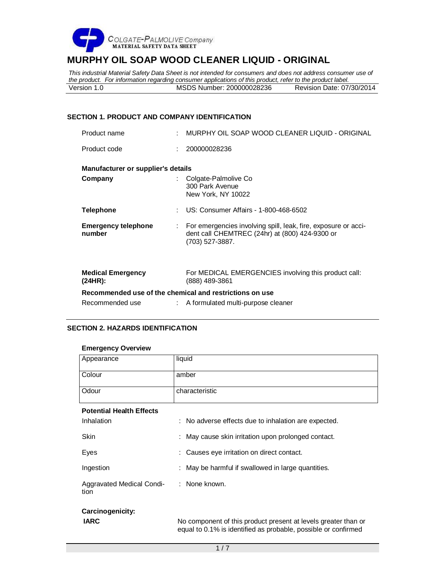

*This industrial Material Safety Data Sheet is not intended for consumers and does not address consumer use of the product. For information regarding consumer applications of this product, refer to the product label.*<br>Version 1.0 **MSDS Number: 200000028236** Revision Date: 07/30/2014 Version 1.0 MSDS Number: 200000028236

# **SECTION 1. PRODUCT AND COMPANY IDENTIFICATION**

| Product name                         |   | MURPHY OIL SOAP WOOD CLEANER LIQUID - ORIGINAL                                                                                      |
|--------------------------------------|---|-------------------------------------------------------------------------------------------------------------------------------------|
| Product code                         |   | 200000028236                                                                                                                        |
| Manufacturer or supplier's details   |   |                                                                                                                                     |
| Company                              |   | Colgate-Palmolive Co<br>300 Park Avenue<br>New York, NY 10022                                                                       |
| <b>Telephone</b>                     | ÷ | US: Consumer Affairs - 1-800-468-6502                                                                                               |
| <b>Emergency telephone</b><br>number |   | For emergencies involving spill, leak, fire, exposure or acci-<br>dent call CHEMTREC (24hr) at (800) 424-9300 or<br>(703) 527-3887. |
| <b>Medical Emergency</b><br>(24HR):  |   | For MEDICAL EMERGENCIES involving this product call:<br>(888) 489-3861                                                              |
|                                      |   | Recommended use of the chemical and restrictions on use                                                                             |
| Recommended use                      |   | A formulated multi-purpose cleaner                                                                                                  |

# **SECTION 2. HAZARDS IDENTIFICATION**

# **Emergency Overview**

| Appearance                        | liquid                                                         |  |  |
|-----------------------------------|----------------------------------------------------------------|--|--|
| Colour                            | amber                                                          |  |  |
| Odour                             | characteristic                                                 |  |  |
| <b>Potential Health Effects</b>   |                                                                |  |  |
| Inhalation                        | : No adverse effects due to inhalation are expected.           |  |  |
| Skin                              | : May cause skin irritation upon prolonged contact.            |  |  |
| Eyes                              | : Causes eye irritation on direct contact.                     |  |  |
| Ingestion                         | : May be harmful if swallowed in large quantities.             |  |  |
| Aggravated Medical Condi-<br>tion | : None known.                                                  |  |  |
| Carcinogenicity:                  |                                                                |  |  |
| <b>IARC</b>                       | No component of this product present at levels greater than or |  |  |

equal to 0.1% is identified as probable, possible or confirmed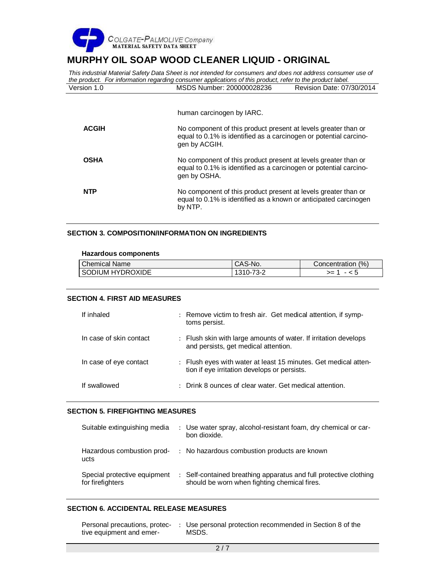

*This industrial Material Safety Data Sheet is not intended for consumers and does not address consumer use of the product. For information regarding consumer applications of this product, refer to the product label.*<br>Version 1.0 **MSDS Number: 200000028236** Revision Date: 07/30/2014 Version 1.0 MSDS Number: 200000028236

human carcinogen by IARC.

| <b>ACGIH</b> | No component of this product present at levels greater than or<br>equal to 0.1% is identified as a carcinogen or potential carcino-<br>gen by ACGIH. |
|--------------|------------------------------------------------------------------------------------------------------------------------------------------------------|
| <b>OSHA</b>  | No component of this product present at levels greater than or<br>equal to 0.1% is identified as a carcinogen or potential carcino-<br>gen by OSHA.  |
| <b>NTP</b>   | No component of this product present at levels greater than or<br>equal to 0.1% is identified as a known or anticipated carcinogen<br>by NTP.        |

# **SECTION 3. COMPOSITION/INFORMATION ON INGREDIENTS**

#### **Hazardous components**

| <b>Chemical Name</b> | CAS-No.   | (% , )<br>Concentration / |
|----------------------|-----------|---------------------------|
| I SODIUM HYDROXIDE   | .<br>≺– ∕ | >≕<br>- < ວ               |

# **SECTION 4. FIRST AID MEASURES**

| If inhaled              | : Remove victim to fresh air. Get medical attention, if symp-<br>toms persist.                                  |
|-------------------------|-----------------------------------------------------------------------------------------------------------------|
| In case of skin contact | : Flush skin with large amounts of water. If irritation develops<br>and persists, get medical attention.        |
| In case of eye contact  | : Flush eyes with water at least 15 minutes. Get medical atten-<br>tion if eye irritation develops or persists. |
| If swallowed            | : Drink 8 ounces of clear water. Get medical attention.                                                         |

# **SECTION 5. FIREFIGHTING MEASURES**

| Suitable extinguishing media                     | : Use water spray, alcohol-resistant foam, dry chemical or car-<br>bon dioxide.                                   |
|--------------------------------------------------|-------------------------------------------------------------------------------------------------------------------|
| Hazardous combustion prod-<br>ucts               | : No hazardous combustion products are known                                                                      |
| Special protective equipment<br>for firefighters | : Self-contained breathing apparatus and full protective clothing<br>should be worn when fighting chemical fires. |

# **SECTION 6. ACCIDENTAL RELEASE MEASURES**

| Personal precautions, protec- | Use personal protection recommended in Section 8 of the |
|-------------------------------|---------------------------------------------------------|
| tive equipment and emer-      | MSDS.                                                   |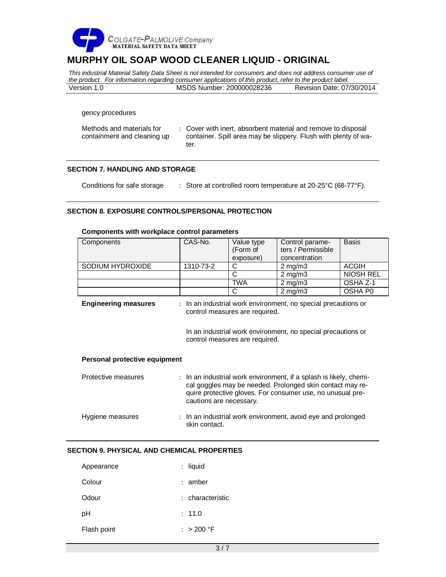

*This industrial Material Safety Data Sheet is not intended for consumers and does not address consumer use of the product. For information regarding consumer applications of this product, refer to the product label.* Version 1.0 MSDS Number: 200000028236 Revision Date: 07/30/2014

gency procedures

| Methods and materials for   | : Cover with inert, absorbent material and remove to disposal   |
|-----------------------------|-----------------------------------------------------------------|
| containment and cleaning up | container. Spill area may be slippery. Flush with plenty of wa- |
|                             | ter.                                                            |

#### **SECTION 7. HANDLING AND STORAGE**

Conditions for safe storage : Store at controlled room temperature at 20-25°C (68-77°F).

# **SECTION 8. EXPOSURE CONTROLS/PERSONAL PROTECTION**

# **Components with workplace control parameters**

| Components       | CAS-No.   | Value type                     | Control parame-  | <b>Basis</b>     |
|------------------|-----------|--------------------------------|------------------|------------------|
|                  |           | (Form of<br>ters / Permissible |                  |                  |
|                  |           | exposure)                      | concentration    |                  |
| SODIUM HYDROXIDE | 1310-73-2 |                                | $2 \text{ mg/m}$ | ACGIH            |
|                  |           |                                | $2 \text{ mg/m}$ | <b>NIOSH REL</b> |
|                  |           | TWA                            | $2$ mg/m $3$     | OSHA Z-1         |
|                  |           |                                | $2 \text{ mg/m}$ | OSHA P0          |

| <b>Engineering measures</b> | : In an industrial work environment, no special precautions or<br>control measures are required. |
|-----------------------------|--------------------------------------------------------------------------------------------------|
|                             |                                                                                                  |

In an industrial work environment, no special precautions or control measures are required.

#### **Personal protective equipment**

| Protective measures | : In an industrial work environment, if a splash is likely, chemi-<br>cal goggles may be needed. Prolonged skin contact may re-<br>quire protective gloves. For consumer use, no unusual pre-<br>cautions are necessary. |
|---------------------|--------------------------------------------------------------------------------------------------------------------------------------------------------------------------------------------------------------------------|
| Hygiene measures    | : In an industrial work environment, avoid eve and prolonged<br>skin contact.                                                                                                                                            |

# **SECTION 9. PHYSICAL AND CHEMICAL PROPERTIES**

| Appearance  | : liquid         |
|-------------|------------------|
| Colour      | $:$ amber        |
| Odour       | : characteristic |
| рH          | : 11.0           |
| Flash point | : $>200$ °F      |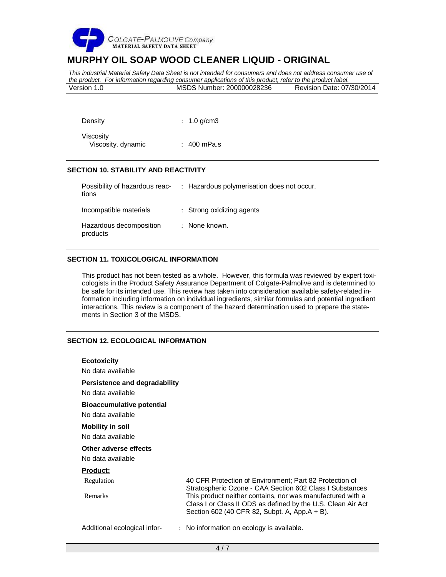

*This industrial Material Safety Data Sheet is not intended for consumers and does not address consumer use of the product. For information regarding consumer applications of this product, refer to the product label.* Version 1.0 MSDS Number: 200000028236 Revision Date: 07/30/2014

| Density                         | : 1.0 g/cm3     |
|---------------------------------|-----------------|
| Viscosity<br>Viscosity, dynamic | $\pm$ 400 mPa.s |

# **SECTION 10. STABILITY AND REACTIVITY**

| Possibility of hazardous reac-<br>tions | : Hazardous polymerisation does not occur. |
|-----------------------------------------|--------------------------------------------|
| Incompatible materials                  | : Strong oxidizing agents                  |
| Hazardous decomposition<br>products     | : None known.                              |

# **SECTION 11. TOXICOLOGICAL INFORMATION**

This product has not been tested as a whole. However, this formula was reviewed by expert toxicologists in the Product Safety Assurance Department of Colgate-Palmolive and is determined to be safe for its intended use. This review has taken into consideration available safety-related information including information on individual ingredients, similar formulas and potential ingredient interactions. This review is a component of the hazard determination used to prepare the statements in Section 3 of the MSDS.

# **SECTION 12. ECOLOGICAL INFORMATION**

| <b>Ecotoxicity</b>                                    |                                                                                                                                                                                                                                                                                                    |
|-------------------------------------------------------|----------------------------------------------------------------------------------------------------------------------------------------------------------------------------------------------------------------------------------------------------------------------------------------------------|
| No data available                                     |                                                                                                                                                                                                                                                                                                    |
| Persistence and degradability<br>No data available    |                                                                                                                                                                                                                                                                                                    |
| <b>Bioaccumulative potential</b><br>No data available |                                                                                                                                                                                                                                                                                                    |
| <b>Mobility in soil</b><br>No data available          |                                                                                                                                                                                                                                                                                                    |
| Other adverse effects<br>No data available            |                                                                                                                                                                                                                                                                                                    |
| <b>Product:</b>                                       |                                                                                                                                                                                                                                                                                                    |
| Regulation<br><b>Remarks</b>                          | 40 CFR Protection of Environment: Part 82 Protection of<br>Stratospheric Ozone - CAA Section 602 Class I Substances<br>This product neither contains, nor was manufactured with a<br>Class I or Class II ODS as defined by the U.S. Clean Air Act<br>Section 602 (40 CFR 82, Subpt. A, App.A + B). |
| Additional ecological infor-<br>$\ddot{\phantom{0}}$  | No information on ecology is available.                                                                                                                                                                                                                                                            |
|                                                       |                                                                                                                                                                                                                                                                                                    |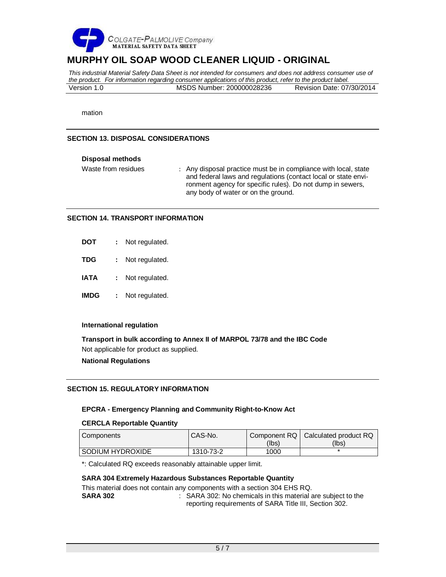

*This industrial Material Safety Data Sheet is not intended for consumers and does not address consumer use of the product. For information regarding consumer applications of this product, refer to the product label.* Version 1.0 MSDS Number: 200000028236 Revision Date: 07/30/2014

mation

# **SECTION 13. DISPOSAL CONSIDERATIONS**

# **Disposal methods**

Waste from residues : Any disposal practice must be in compliance with local, state and federal laws and regulations (contact local or state environment agency for specific rules). Do not dump in sewers, any body of water or on the ground.

# **SECTION 14. TRANSPORT INFORMATION**

| DOT  | Not regulated. |
|------|----------------|
| TDG  | Not regulated. |
| IATA | Not regulated. |

**IMDG :** Not regulated.

# **International regulation**

**Transport in bulk according to Annex II of MARPOL 73/78 and the IBC Code** Not applicable for product as supplied.

# **National Regulations**

# **SECTION 15. REGULATORY INFORMATION**

# **EPCRA - Emergency Planning and Community Right-to-Know Act**

# **CERCLA Reportable Quantity**

| Components         | CAS-No.   |       | Component RQ   Calculated product RQ |
|--------------------|-----------|-------|--------------------------------------|
|                    |           | (lbs) | (Ibs)                                |
| I SODIUM HYDROXIDE | 1310-73-2 | 1000  |                                      |

\*: Calculated RQ exceeds reasonably attainable upper limit.

# **SARA 304 Extremely Hazardous Substances Reportable Quantity**

This material does not contain any components with a section 304 EHS RQ. **SARA 302** : SARA 302: No chemicals in this material are subject to the reporting requirements of SARA Title III, Section 302.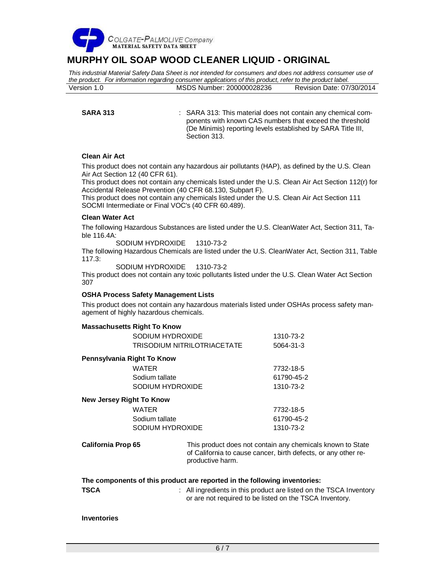

*This industrial Material Safety Data Sheet is not intended for consumers and does not address consumer use of the product. For information regarding consumer applications of this product, refer to the product label.* Version 1.0 MSDS Number: 200000028236 Revision Date: 07/30/2014

**SARA 313** : SARA 313: This material does not contain any chemical components with known CAS numbers that exceed the threshold (De Minimis) reporting levels established by SARA Title III, Section 313.

# **Clean Air Act**

This product does not contain any hazardous air pollutants (HAP), as defined by the U.S. Clean Air Act Section 12 (40 CFR 61).

This product does not contain any chemicals listed under the U.S. Clean Air Act Section 112(r) for Accidental Release Prevention (40 CFR 68.130, Subpart F).

This product does not contain any chemicals listed under the U.S. Clean Air Act Section 111 SOCMI Intermediate or Final VOC's (40 CFR 60.489).

# **Clean Water Act**

The following Hazardous Substances are listed under the U.S. CleanWater Act, Section 311, Table 116.4A:

SODIUM HYDROXIDE 1310-73-2

The following Hazardous Chemicals are listed under the U.S. CleanWater Act, Section 311, Table 117.3:

SODIUM HYDROXIDE 1310-73-2

This product does not contain any toxic pollutants listed under the U.S. Clean Water Act Section 307

# **OSHA Process Safety Management Lists**

This product does not contain any hazardous materials listed under OSHAs process safety management of highly hazardous chemicals.

# **Massachusetts Right To Know**

|                                 | SODIUM HYDROXIDE                   | 1310-73-2  |  |
|---------------------------------|------------------------------------|------------|--|
|                                 | <b>TRISODIUM NITRILOTRIACETATE</b> | 5064-31-3  |  |
| Pennsylvania Right To Know      |                                    |            |  |
|                                 | WATER                              | 7732-18-5  |  |
|                                 | Sodium tallate                     | 61790-45-2 |  |
|                                 | SODIUM HYDROXIDE                   | 1310-73-2  |  |
| <b>New Jersey Right To Know</b> |                                    |            |  |
|                                 | WATER                              | 7732-18-5  |  |
|                                 | Sodium tallate                     | 61790-45-2 |  |
|                                 | SODIUM HYDROXIDE                   | 1310-73-2  |  |

**California Prop 65** This product does not contain any chemicals known to State of California to cause cancer, birth defects, or any other reproductive harm.

# **The components of this product are reported in the following inventories:**

**TSCA EXAMPLE 1 TSCA INCO 1 All ingredients in this product are listed on the TSCA Inventory** or are not required to be listed on the TSCA Inventory.

# **Inventories**